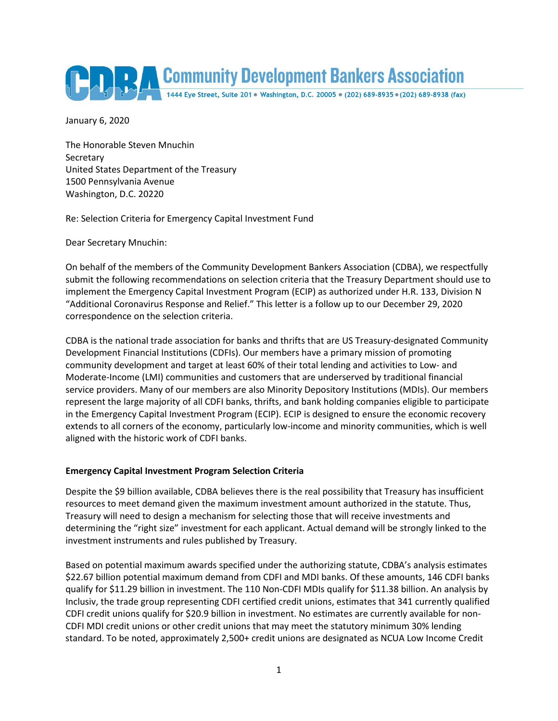

January 6, 2020

The Honorable Steven Mnuchin **Secretary** United States Department of the Treasury 1500 Pennsylvania Avenue Washington, D.C. 20220

Re: Selection Criteria for Emergency Capital Investment Fund

Dear Secretary Mnuchin:

On behalf of the members of the Community Development Bankers Association (CDBA), we respectfully submit the following recommendations on selection criteria that the Treasury Department should use to implement the Emergency Capital Investment Program (ECIP) as authorized under H.R. 133, Division N "Additional Coronavirus Response and Relief." This letter is a follow up to our December 29, 2020 correspondence on the selection criteria.

CDBA is the national trade association for banks and thrifts that are US Treasury-designated Community Development Financial Institutions (CDFIs). Our members have a primary mission of promoting community development and target at least 60% of their total lending and activities to Low- and Moderate-Income (LMI) communities and customers that are underserved by traditional financial service providers. Many of our members are also Minority Depository Institutions (MDIs). Our members represent the large majority of all CDFI banks, thrifts, and bank holding companies eligible to participate in the Emergency Capital Investment Program (ECIP). ECIP is designed to ensure the economic recovery extends to all corners of the economy, particularly low-income and minority communities, which is well aligned with the historic work of CDFI banks.

## **Emergency Capital Investment Program Selection Criteria**

Despite the \$9 billion available, CDBA believes there is the real possibility that Treasury has insufficient resources to meet demand given the maximum investment amount authorized in the statute. Thus, Treasury will need to design a mechanism for selecting those that will receive investments and determining the "right size" investment for each applicant. Actual demand will be strongly linked to the investment instruments and rules published by Treasury.

Based on potential maximum awards specified under the authorizing statute, CDBA's analysis estimates \$22.67 billion potential maximum demand from CDFI and MDI banks. Of these amounts, 146 CDFI banks qualify for \$11.29 billion in investment. The 110 Non-CDFI MDIs qualify for \$11.38 billion. An analysis by Inclusiv, the trade group representing CDFI certified credit unions, estimates that 341 currently qualified CDFI credit unions qualify for \$20.9 billion in investment. No estimates are currently available for non-CDFI MDI credit unions or other credit unions that may meet the statutory minimum 30% lending standard. To be noted, approximately 2,500+ credit unions are designated as NCUA Low Income Credit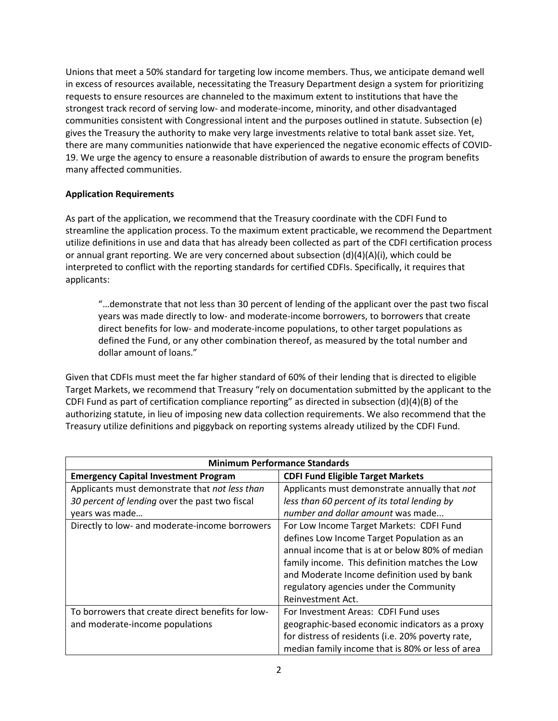Unions that meet a 50% standard for targeting low income members. Thus, we anticipate demand well in excess of resources available, necessitating the Treasury Department design a system for prioritizing requests to ensure resources are channeled to the maximum extent to institutions that have the strongest track record of serving low- and moderate-income, minority, and other disadvantaged communities consistent with Congressional intent and the purposes outlined in statute. Subsection (e) gives the Treasury the authority to make very large investments relative to total bank asset size. Yet, there are many communities nationwide that have experienced the negative economic effects of COVID-19. We urge the agency to ensure a reasonable distribution of awards to ensure the program benefits many affected communities.

## **Application Requirements**

As part of the application, we recommend that the Treasury coordinate with the CDFI Fund to streamline the application process. To the maximum extent practicable, we recommend the Department utilize definitions in use and data that has already been collected as part of the CDFI certification process or annual grant reporting. We are very concerned about subsection  $(d)(4)(A)(i)$ , which could be interpreted to conflict with the reporting standards for certified CDFIs. Specifically, it requires that applicants:

"…demonstrate that not less than 30 percent of lending of the applicant over the past two fiscal years was made directly to low- and moderate-income borrowers, to borrowers that create direct benefits for low- and moderate-income populations, to other target populations as defined the Fund, or any other combination thereof, as measured by the total number and dollar amount of loans."

Given that CDFIs must meet the far higher standard of 60% of their lending that is directed to eligible Target Markets, we recommend that Treasury "rely on documentation submitted by the applicant to the CDFI Fund as part of certification compliance reporting" as directed in subsection (d)(4)(B) of the authorizing statute, in lieu of imposing new data collection requirements. We also recommend that the Treasury utilize definitions and piggyback on reporting systems already utilized by the CDFI Fund.

| <b>Minimum Performance Standards</b>              |                                                   |
|---------------------------------------------------|---------------------------------------------------|
| <b>Emergency Capital Investment Program</b>       | <b>CDFI Fund Eligible Target Markets</b>          |
| Applicants must demonstrate that not less than    | Applicants must demonstrate annually that not     |
| 30 percent of lending over the past two fiscal    | less than 60 percent of its total lending by      |
| years was made                                    | number and dollar amount was made                 |
| Directly to low- and moderate-income borrowers    | For Low Income Target Markets: CDFI Fund          |
|                                                   | defines Low Income Target Population as an        |
|                                                   | annual income that is at or below 80% of median   |
|                                                   | family income. This definition matches the Low    |
|                                                   | and Moderate Income definition used by bank       |
|                                                   | regulatory agencies under the Community           |
|                                                   | Reinvestment Act.                                 |
| To borrowers that create direct benefits for low- | For Investment Areas: CDFI Fund uses              |
| and moderate-income populations                   | geographic-based economic indicators as a proxy   |
|                                                   | for distress of residents (i.e. 20% poverty rate, |
|                                                   | median family income that is 80% or less of area  |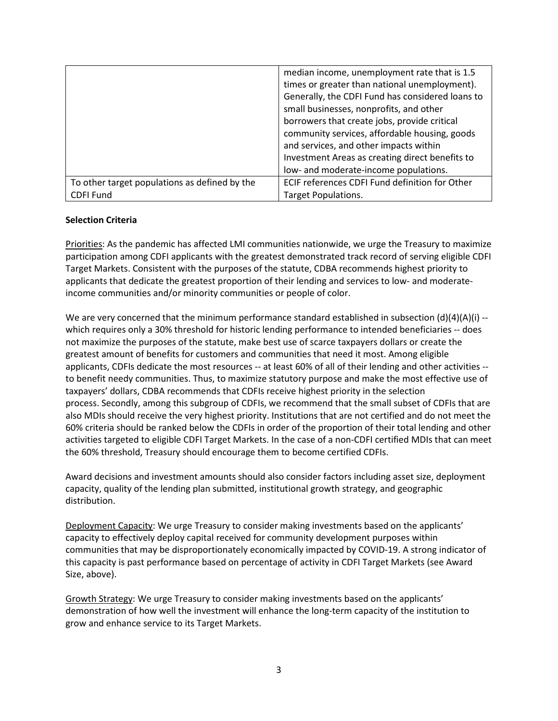|                                               | median income, unemployment rate that is 1.5     |
|-----------------------------------------------|--------------------------------------------------|
|                                               | times or greater than national unemployment).    |
|                                               | Generally, the CDFI Fund has considered loans to |
|                                               | small businesses, nonprofits, and other          |
|                                               | borrowers that create jobs, provide critical     |
|                                               | community services, affordable housing, goods    |
|                                               | and services, and other impacts within           |
|                                               | Investment Areas as creating direct benefits to  |
|                                               | low- and moderate-income populations.            |
| To other target populations as defined by the | ECIF references CDFI Fund definition for Other   |
| <b>CDFI Fund</b>                              | <b>Target Populations.</b>                       |

## **Selection Criteria**

Priorities: As the pandemic has affected LMI communities nationwide, we urge the Treasury to maximize participation among CDFI applicants with the greatest demonstrated track record of serving eligible CDFI Target Markets. Consistent with the purposes of the statute, CDBA recommends highest priority to applicants that dedicate the greatest proportion of their lending and services to low- and moderateincome communities and/or minority communities or people of color.

We are very concerned that the minimum performance standard established in subsection  $(d)(4)(A)(i)$  -which requires only a 30% threshold for historic lending performance to intended beneficiaries -- does not maximize the purposes of the statute, make best use of scarce taxpayers dollars or create the greatest amount of benefits for customers and communities that need it most. Among eligible applicants, CDFIs dedicate the most resources -- at least 60% of all of their lending and other activities - to benefit needy communities. Thus, to maximize statutory purpose and make the most effective use of taxpayers' dollars, CDBA recommends that CDFIs receive highest priority in the selection process. Secondly, among this subgroup of CDFIs, we recommend that the small subset of CDFIs that are also MDIs should receive the very highest priority. Institutions that are not certified and do not meet the 60% criteria should be ranked below the CDFIs in order of the proportion of their total lending and other activities targeted to eligible CDFI Target Markets. In the case of a non-CDFI certified MDIs that can meet the 60% threshold, Treasury should encourage them to become certified CDFIs.

Award decisions and investment amounts should also consider factors including asset size, deployment capacity, quality of the lending plan submitted, institutional growth strategy, and geographic distribution.

Deployment Capacity: We urge Treasury to consider making investments based on the applicants' capacity to effectively deploy capital received for community development purposes within communities that may be disproportionately economically impacted by COVID-19. A strong indicator of this capacity is past performance based on percentage of activity in CDFI Target Markets (see Award Size, above).

Growth Strategy: We urge Treasury to consider making investments based on the applicants' demonstration of how well the investment will enhance the long-term capacity of the institution to grow and enhance service to its Target Markets.